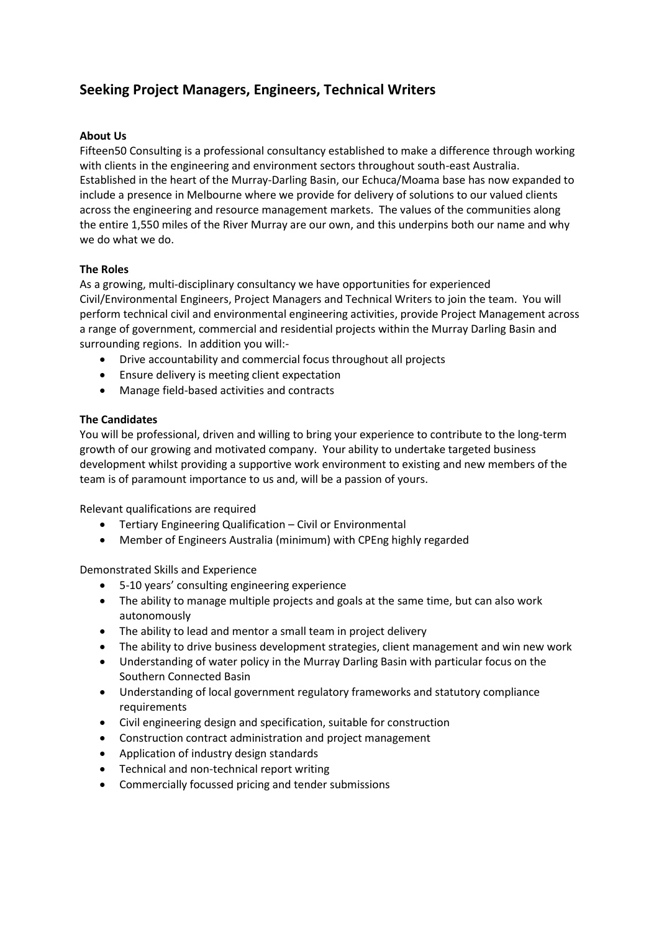# **Seeking Project Managers, Engineers, Technical Writers**

## **About Us**

Fifteen50 Consulting is a professional consultancy established to make a difference through working with clients in the engineering and environment sectors throughout south-east Australia. Established in the heart of the Murray-Darling Basin, our Echuca/Moama base has now expanded to include a presence in Melbourne where we provide for delivery of solutions to our valued clients across the engineering and resource management markets. The values of the communities along the entire 1,550 miles of the River Murray are our own, and this underpins both our name and why we do what we do.

## **The Roles**

As a growing, multi-disciplinary consultancy we have opportunities for experienced Civil/Environmental Engineers, Project Managers and Technical Writers to join the team. You will perform technical civil and environmental engineering activities, provide Project Management across a range of government, commercial and residential projects within the Murray Darling Basin and surrounding regions. In addition you will:-

- Drive accountability and commercial focus throughout all projects
- Ensure delivery is meeting client expectation
- Manage field-based activities and contracts

#### **The Candidates**

You will be professional, driven and willing to bring your experience to contribute to the long-term growth of our growing and motivated company. Your ability to undertake targeted business development whilst providing a supportive work environment to existing and new members of the team is of paramount importance to us and, will be a passion of yours.

Relevant qualifications are required

- Tertiary Engineering Qualification Civil or Environmental
- Member of Engineers Australia (minimum) with CPEng highly regarded

Demonstrated Skills and Experience

- 5-10 years' consulting engineering experience
- The ability to manage multiple projects and goals at the same time, but can also work autonomously
- The ability to lead and mentor a small team in project delivery
- The ability to drive business development strategies, client management and win new work
- Understanding of water policy in the Murray Darling Basin with particular focus on the Southern Connected Basin
- Understanding of local government regulatory frameworks and statutory compliance requirements
- Civil engineering design and specification, suitable for construction
- Construction contract administration and project management
- Application of industry design standards
- Technical and non-technical report writing
- Commercially focussed pricing and tender submissions